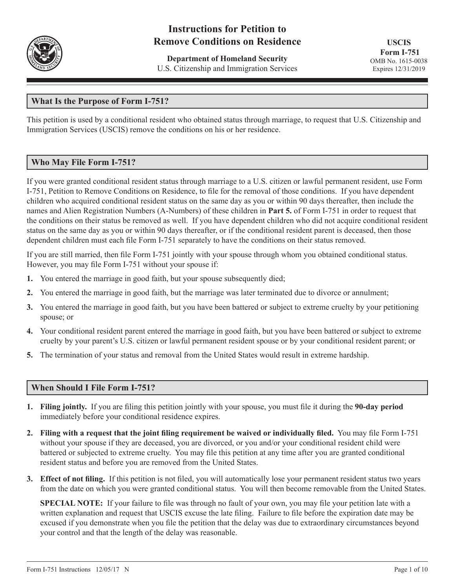

# **Instructions for Petition to Remove Conditions on Residence**

**Department of Homeland Security** U.S. Citizenship and Immigration Services

**USCIS Form I-751** OMB No. 1615-0038 Expires 12/31/2019

# **What Is the Purpose of Form I-751?**

This petition is used by a conditional resident who obtained status through marriage, to request that U.S. Citizenship and Immigration Services (USCIS) remove the conditions on his or her residence.

# **Who May File Form I-751?**

If you were granted conditional resident status through marriage to a U.S. citizen or lawful permanent resident, use Form I-751, Petition to Remove Conditions on Residence, to file for the removal of those conditions. If you have dependent children who acquired conditional resident status on the same day as you or within 90 days thereafter, then include the names and Alien Registration Numbers (A-Numbers) of these children in **Part 5.** of Form I-751 in order to request that the conditions on their status be removed as well. If you have dependent children who did not acquire conditional resident status on the same day as you or within 90 days thereafter, or if the conditional resident parent is deceased, then those dependent children must each file Form I-751 separately to have the conditions on their status removed.

If you are still married, then file Form I-751 jointly with your spouse through whom you obtained conditional status. However, you may file Form I-751 without your spouse if:

- **1.** You entered the marriage in good faith, but your spouse subsequently died;
- **2.** You entered the marriage in good faith, but the marriage was later terminated due to divorce or annulment;
- **3.** You entered the marriage in good faith, but you have been battered or subject to extreme cruelty by your petitioning spouse; or
- **4.** Your conditional resident parent entered the marriage in good faith, but you have been battered or subject to extreme cruelty by your parent's U.S. citizen or lawful permanent resident spouse or by your conditional resident parent; or
- **5.** The termination of your status and removal from the United States would result in extreme hardship.

## **When Should I File Form I-751?**

- **1. Filing jointly.** If you are filing this petition jointly with your spouse, you must file it during the **90-day period**  immediately before your conditional residence expires.
- **2. Filing with a request that the joint filing requirement be waived or individually filed.** You may file Form I-751 without your spouse if they are deceased, you are divorced, or you and/or your conditional resident child were battered or subjected to extreme cruelty. You may file this petition at any time after you are granted conditional resident status and before you are removed from the United States.
- **3. Effect of not filing.** If this petition is not filed, you will automatically lose your permanent resident status two years from the date on which you were granted conditional status. You will then become removable from the United States.

**SPECIAL NOTE:** If your failure to file was through no fault of your own, you may file your petition late with a written explanation and request that USCIS excuse the late filing. Failure to file before the expiration date may be excused if you demonstrate when you file the petition that the delay was due to extraordinary circumstances beyond your control and that the length of the delay was reasonable.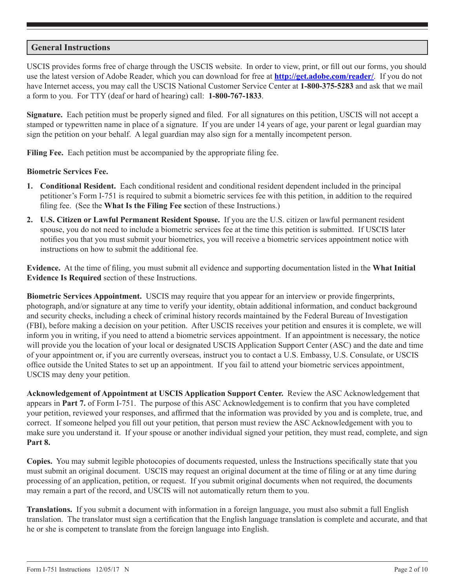## **General Instructions**

USCIS provides forms free of charge through the USCIS website. In order to view, print, or fill out our forms, you should use the latest version of Adobe Reader, which you can download for free at **http://get.adobe.com/reader/**. If you do not have Internet access, you may call the USCIS National Customer Service Center at **1-800-375-5283** and ask that we mail a form to you. For TTY (deaf or hard of hearing) call: **1-800-767-1833**.

**Signature.** Each petition must be properly signed and filed. For all signatures on this petition, USCIS will not accept a stamped or typewritten name in place of a signature. If you are under 14 years of age, your parent or legal guardian may sign the petition on your behalf. A legal guardian may also sign for a mentally incompetent person.

**Filing Fee.** Each petition must be accompanied by the appropriate filing fee.

### **Biometric Services Fee.**

- **1. Conditional Resident.** Each conditional resident and conditional resident dependent included in the principal petitioner's Form I-751 is required to submit a biometric services fee with this petition, in addition to the required filing fee. (See the **What Is the Filing Fee s**ection of these Instructions.)
- **2. U.S. Citizen or Lawful Permanent Resident Spouse.** If you are the U.S. citizen or lawful permanent resident spouse, you do not need to include a biometric services fee at the time this petition is submitted. If USCIS later notifies you that you must submit your biometrics, you will receive a biometric services appointment notice with instructions on how to submit the additional fee.

**Evidence.** At the time of filing, you must submit all evidence and supporting documentation listed in the **What Initial Evidence Is Required** section of these Instructions.

**Biometric Services Appointment.** USCIS may require that you appear for an interview or provide fingerprints, photograph, and/or signature at any time to verify your identity, obtain additional information, and conduct background and security checks, including a check of criminal history records maintained by the Federal Bureau of Investigation (FBI), before making a decision on your petition. After USCIS receives your petition and ensures it is complete, we will inform you in writing, if you need to attend a biometric services appointment. If an appointment is necessary, the notice will provide you the location of your local or designated USCIS Application Support Center (ASC) and the date and time of your appointment or, if you are currently overseas, instruct you to contact a U.S. Embassy, U.S. Consulate, or USCIS office outside the United States to set up an appointment. If you fail to attend your biometric services appointment, USCIS may deny your petition.

**Acknowledgement of Appointment at USCIS Application Support Center.** Review the ASC Acknowledgement that appears in **Part 7.** of Form I-751. The purpose of this ASC Acknowledgement is to confirm that you have completed your petition, reviewed your responses, and affirmed that the information was provided by you and is complete, true, and correct. If someone helped you fill out your petition, that person must review the ASC Acknowledgement with you to make sure you understand it. If your spouse or another individual signed your petition, they must read, complete, and sign **Part 8.**

**Copies.** You may submit legible photocopies of documents requested, unless the Instructions specifically state that you must submit an original document. USCIS may request an original document at the time of filing or at any time during processing of an application, petition, or request. If you submit original documents when not required, the documents may remain a part of the record, and USCIS will not automatically return them to you.

**Translations.** If you submit a document with information in a foreign language, you must also submit a full English translation. The translator must sign a certification that the English language translation is complete and accurate, and that he or she is competent to translate from the foreign language into English.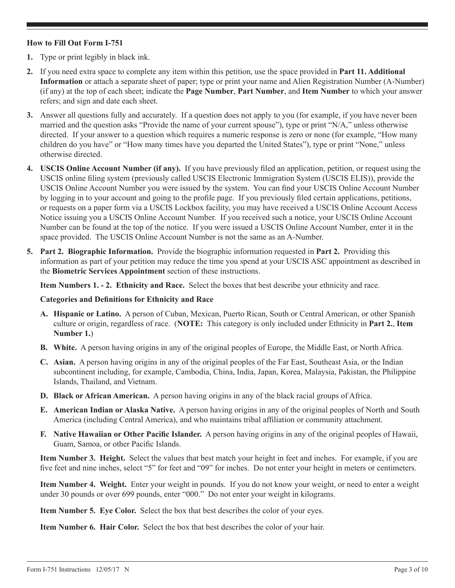## **How to Fill Out Form I-751**

- **1.** Type or print legibly in black ink.
- **2.** If you need extra space to complete any item within this petition, use the space provided in **Part 11. Additional Information** or attach a separate sheet of paper; type or print your name and Alien Registration Number (A-Number) (if any) at the top of each sheet; indicate the **Page Number**, **Part Number**, and **Item Number** to which your answer refers; and sign and date each sheet.
- **3.** Answer all questions fully and accurately. If a question does not apply to you (for example, if you have never been married and the question asks "Provide the name of your current spouse"), type or print "N/A," unless otherwise directed. If your answer to a question which requires a numeric response is zero or none (for example, "How many children do you have" or "How many times have you departed the United States"), type or print "None," unless otherwise directed.
- **4. USCIS Online Account Number (if any).** If you have previously filed an application, petition, or request using the USCIS online filing system (previously called USCIS Electronic Immigration System (USCIS ELIS)), provide the USCIS Online Account Number you were issued by the system. You can find your USCIS Online Account Number by logging in to your account and going to the profile page. If you previously filed certain applications, petitions, or requests on a paper form via a USCIS Lockbox facility, you may have received a USCIS Online Account Access Notice issuing you a USCIS Online Account Number. If you received such a notice, your USCIS Online Account Number can be found at the top of the notice. If you were issued a USCIS Online Account Number, enter it in the space provided. The USCIS Online Account Number is not the same as an A-Number.
- **5. Part 2. Biographic Information.** Provide the biographic information requested in **Part 2.** Providing this information as part of your petition may reduce the time you spend at your USCIS ASC appointment as described in the **Biometric Services Appointment** section of these instructions.

**Item Numbers 1. - 2. Ethnicity and Race.** Select the boxes that best describe your ethnicity and race.

#### **Categories and Definitions for Ethnicity and Race**

- **A. Hispanic or Latino.** A person of Cuban, Mexican, Puerto Rican, South or Central American, or other Spanish culture or origin, regardless of race. (**NOTE:** This category is only included under Ethnicity in **Part 2.**, **Item Number 1.**)
- **B. White.** A person having origins in any of the original peoples of Europe, the Middle East, or North Africa.
- **C. Asian.** A person having origins in any of the original peoples of the Far East, Southeast Asia, or the Indian subcontinent including, for example, Cambodia, China, India, Japan, Korea, Malaysia, Pakistan, the Philippine Islands, Thailand, and Vietnam.
- **D. Black or African American.** A person having origins in any of the black racial groups of Africa.
- **E. American Indian or Alaska Native.** A person having origins in any of the original peoples of North and South America (including Central America), and who maintains tribal affiliation or community attachment.
- **F. Native Hawaiian or Other Pacific Islander.** A person having origins in any of the original peoples of Hawaii, Guam, Samoa, or other Pacific Islands.

**Item Number 3. Height.** Select the values that best match your height in feet and inches. For example, if you are five feet and nine inches, select "5" for feet and "09" for inches. Do not enter your height in meters or centimeters.

**Item Number 4. Weight.** Enter your weight in pounds. If you do not know your weight, or need to enter a weight under 30 pounds or over 699 pounds, enter "000." Do not enter your weight in kilograms.

**Item Number 5. Eye Color.** Select the box that best describes the color of your eyes.

**Item Number 6. Hair Color.** Select the box that best describes the color of your hair.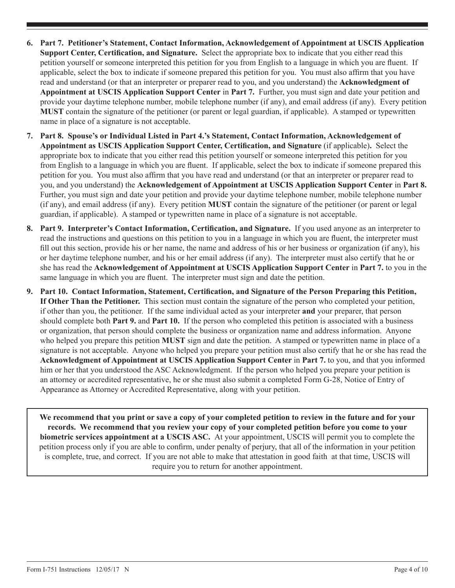- **6. Part 7. Petitioner's Statement, Contact Information, Acknowledgement of Appointment at USCIS Application Support Center, Certification, and Signature.** Select the appropriate box to indicate that you either read this petition yourself or someone interpreted this petition for you from English to a language in which you are fluent. If applicable, select the box to indicate if someone prepared this petition for you. You must also affirm that you have read and understand (or that an interpreter or preparer read to you, and you understand) the **Acknowledgment of Appointment at USCIS Application Support Center** in **Part 7.** Further, you must sign and date your petition and provide your daytime telephone number, mobile telephone number (if any), and email address (if any). Every petition **MUST** contain the signature of the petitioner (or parent or legal guardian, if applicable). A stamped or typewritten name in place of a signature is not acceptable.
- **7. Part 8. Spouse's or Individual Listed in Part 4.'s Statement, Contact Information, Acknowledgement of Appointment as USCIS Application Support Center, Certification, and Signature** (if applicable)**.** Select the appropriate box to indicate that you either read this petition yourself or someone interpreted this petition for you from English to a language in which you are fluent. If applicable, select the box to indicate if someone prepared this petition for you. You must also affirm that you have read and understand (or that an interpreter or preparer read to you, and you understand) the **Acknowledgement of Appointment at USCIS Application Support Center** in **Part 8.** Further, you must sign and date your petition and provide your daytime telephone number, mobile telephone number (if any), and email address (if any). Every petition **MUST** contain the signature of the petitioner (or parent or legal guardian, if applicable). A stamped or typewritten name in place of a signature is not acceptable.
- **8. Part 9. Interpreter's Contact Information, Certification, and Signature.** If you used anyone as an interpreter to read the instructions and questions on this petition to you in a language in which you are fluent, the interpreter must fill out this section, provide his or her name, the name and address of his or her business or organization (if any), his or her daytime telephone number, and his or her email address (if any). The interpreter must also certify that he or she has read the **Acknowledgement of Appointment at USCIS Application Support Center** in **Part 7.** to you in the same language in which you are fluent. The interpreter must sign and date the petition.
- **9. Part 10. Contact Information, Statement, Certification, and Signature of the Person Preparing this Petition, If Other Than the Petitioner.** This section must contain the signature of the person who completed your petition, if other than you, the petitioner. If the same individual acted as your interpreter **and** your preparer, that person should complete both **Part 9.** and **Part 10.** If the person who completed this petition is associated with a business or organization, that person should complete the business or organization name and address information. Anyone who helped you prepare this petition **MUST** sign and date the petition. A stamped or typewritten name in place of a signature is not acceptable. Anyone who helped you prepare your petition must also certify that he or she has read the **Acknowledgment of Appointment at USCIS Application Support Center** in **Part 7.** to you, and that you informed him or her that you understood the ASC Acknowledgment. If the person who helped you prepare your petition is an attorney or accredited representative, he or she must also submit a completed Form G-28, Notice of Entry of Appearance as Attorney or Accredited Representative, along with your petition.

**We recommend that you print or save a copy of your completed petition to review in the future and for your records. We recommend that you review your copy of your completed petition before you come to your biometric services appointment at a USCIS ASC.** At your appointment, USCIS will permit you to complete the petition process only if you are able to confirm, under penalty of perjury, that all of the information in your petition is complete, true, and correct. If you are not able to make that attestation in good faith at that time, USCIS will require you to return for another appointment.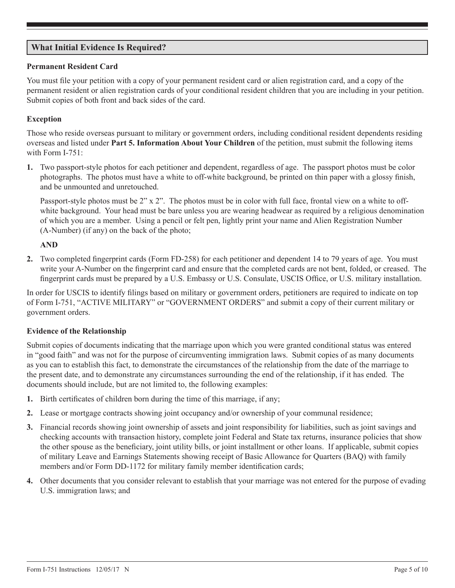## **What Initial Evidence Is Required?**

#### **Permanent Resident Card**

You must file your petition with a copy of your permanent resident card or alien registration card, and a copy of the permanent resident or alien registration cards of your conditional resident children that you are including in your petition. Submit copies of both front and back sides of the card.

## **Exception**

Those who reside overseas pursuant to military or government orders, including conditional resident dependents residing overseas and listed under **Part 5. Information About Your Children** of the petition, must submit the following items with Form I-751:

**1.** Two passport-style photos for each petitioner and dependent, regardless of age. The passport photos must be color photographs. The photos must have a white to off-white background, be printed on thin paper with a glossy finish, and be unmounted and unretouched.

Passport-style photos must be 2" x 2". The photos must be in color with full face, frontal view on a white to offwhite background. Your head must be bare unless you are wearing headwear as required by a religious denomination of which you are a member. Using a pencil or felt pen, lightly print your name and Alien Registration Number (A-Number) (if any) on the back of the photo;

### **AND**

**2.** Two completed fingerprint cards (Form FD-258) for each petitioner and dependent 14 to 79 years of age. You must write your A-Number on the fingerprint card and ensure that the completed cards are not bent, folded, or creased. The fingerprint cards must be prepared by a U.S. Embassy or U.S. Consulate, USCIS Office, or U.S. military installation.

In order for USCIS to identify filings based on military or government orders, petitioners are required to indicate on top of Form I-751, "ACTIVE MILITARY" or "GOVERNMENT ORDERS" and submit a copy of their current military or government orders.

## **Evidence of the Relationship**

Submit copies of documents indicating that the marriage upon which you were granted conditional status was entered in "good faith" and was not for the purpose of circumventing immigration laws. Submit copies of as many documents as you can to establish this fact, to demonstrate the circumstances of the relationship from the date of the marriage to the present date, and to demonstrate any circumstances surrounding the end of the relationship, if it has ended. The documents should include, but are not limited to, the following examples:

- **1.** Birth certificates of children born during the time of this marriage, if any;
- **2.** Lease or mortgage contracts showing joint occupancy and/or ownership of your communal residence;
- **3.** Financial records showing joint ownership of assets and joint responsibility for liabilities, such as joint savings and checking accounts with transaction history, complete joint Federal and State tax returns, insurance policies that show the other spouse as the beneficiary, joint utility bills, or joint installment or other loans. If applicable, submit copies of military Leave and Earnings Statements showing receipt of Basic Allowance for Quarters (BAQ) with family members and/or Form DD-1172 for military family member identification cards;
- **4.** Other documents that you consider relevant to establish that your marriage was not entered for the purpose of evading U.S. immigration laws; and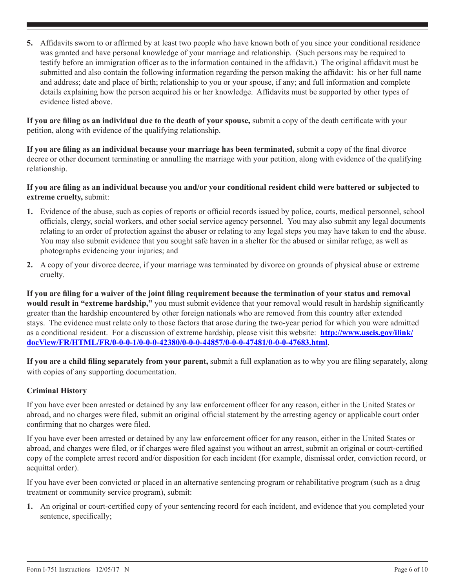**5.** Affidavits sworn to or affirmed by at least two people who have known both of you since your conditional residence was granted and have personal knowledge of your marriage and relationship. (Such persons may be required to testify before an immigration officer as to the information contained in the affidavit.) The original affidavit must be submitted and also contain the following information regarding the person making the affidavit: his or her full name and address; date and place of birth; relationship to you or your spouse, if any; and full information and complete details explaining how the person acquired his or her knowledge. Affidavits must be supported by other types of evidence listed above.

**If you are filing as an individual due to the death of your spouse,** submit a copy of the death certificate with your petition, along with evidence of the qualifying relationship.

**If you are filing as an individual because your marriage has been terminated,** submit a copy of the final divorce decree or other document terminating or annulling the marriage with your petition, along with evidence of the qualifying relationship.

**If you are filing as an individual because you and/or your conditional resident child were battered or subjected to extreme cruelty,** submit:

- **1.** Evidence of the abuse, such as copies of reports or official records issued by police, courts, medical personnel, school officials, clergy, social workers, and other social service agency personnel. You may also submit any legal documents relating to an order of protection against the abuser or relating to any legal steps you may have taken to end the abuse. You may also submit evidence that you sought safe haven in a shelter for the abused or similar refuge, as well as photographs evidencing your injuries; and
- **2.** A copy of your divorce decree, if your marriage was terminated by divorce on grounds of physical abuse or extreme cruelty.

**If you are filing for a waiver of the joint filing requirement because the termination of your status and removal would result in "extreme hardship,"** you must submit evidence that your removal would result in hardship significantly greater than the hardship encountered by other foreign nationals who are removed from this country after extended stays. The evidence must relate only to those factors that arose during the two-year period for which you were admitted as a conditional resident. For a discussion of extreme hardship, please visit this website: **http://www.uscis.gov/ilink/ docView/FR/HTML/FR/0-0-0-1/0-0-0-42380/0-0-0-44857/0-0-0-47481/0-0-0-47683.html**.

**If you are a child filing separately from your parent,** submit a full explanation as to why you are filing separately, along with copies of any supporting documentation.

## **Criminal History**

If you have ever been arrested or detained by any law enforcement officer for any reason, either in the United States or abroad, and no charges were filed, submit an original official statement by the arresting agency or applicable court order confirming that no charges were filed.

If you have ever been arrested or detained by any law enforcement officer for any reason, either in the United States or abroad, and charges were filed, or if charges were filed against you without an arrest, submit an original or court-certified copy of the complete arrest record and/or disposition for each incident (for example, dismissal order, conviction record, or acquittal order).

If you have ever been convicted or placed in an alternative sentencing program or rehabilitative program (such as a drug treatment or community service program), submit:

**1.** An original or court-certified copy of your sentencing record for each incident, and evidence that you completed your sentence, specifically;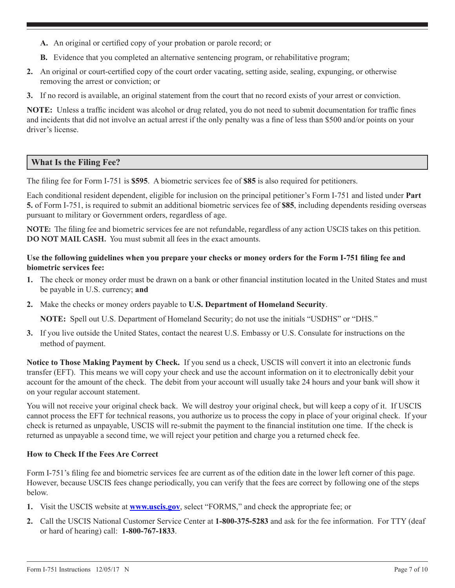- **A.** An original or certified copy of your probation or parole record; or
- **B.** Evidence that you completed an alternative sentencing program, or rehabilitative program;
- **2.** An original or court-certified copy of the court order vacating, setting aside, sealing, expunging, or otherwise removing the arrest or conviction; or
- **3.** If no record is available, an original statement from the court that no record exists of your arrest or conviction.

**NOTE:** Unless a traffic incident was alcohol or drug related, you do not need to submit documentation for traffic fines and incidents that did not involve an actual arrest if the only penalty was a fine of less than \$500 and/or points on your driver's license.

## **What Is the Filing Fee?**

The filing fee for Form I-751 is **\$595**. A biometric services fee of **\$85** is also required for petitioners.

Each conditional resident dependent, eligible for inclusion on the principal petitioner's Form I-751 and listed under **Part 5.** of Form I-751, is required to submit an additional biometric services fee of **\$85**, including dependents residing overseas pursuant to military or Government orders, regardless of age.

**NOTE:** The filing fee and biometric services fee are not refundable, regardless of any action USCIS takes on this petition. **DO NOT MAIL CASH.** You must submit all fees in the exact amounts.

#### **Use the following guidelines when you prepare your checks or money orders for the Form I-751 filing fee and biometric services fee:**

- **1.** The check or money order must be drawn on a bank or other financial institution located in the United States and must be payable in U.S. currency; **and**
- **2.** Make the checks or money orders payable to **U.S. Department of Homeland Security**.

**NOTE:** Spell out U.S. Department of Homeland Security; do not use the initials "USDHS" or "DHS."

**3.** If you live outside the United States, contact the nearest U.S. Embassy or U.S. Consulate for instructions on the method of payment.

**Notice to Those Making Payment by Check.** If you send us a check, USCIS will convert it into an electronic funds transfer (EFT). This means we will copy your check and use the account information on it to electronically debit your account for the amount of the check. The debit from your account will usually take 24 hours and your bank will show it on your regular account statement.

You will not receive your original check back. We will destroy your original check, but will keep a copy of it. If USCIS cannot process the EFT for technical reasons, you authorize us to process the copy in place of your original check. If your check is returned as unpayable, USCIS will re-submit the payment to the financial institution one time. If the check is returned as unpayable a second time, we will reject your petition and charge you a returned check fee.

#### **How to Check If the Fees Are Correct**

Form I-751's filing fee and biometric services fee are current as of the edition date in the lower left corner of this page. However, because USCIS fees change periodically, you can verify that the fees are correct by following one of the steps below.

- **1.** Visit the USCIS website at **www.uscis.gov**, select "FORMS," and check the appropriate fee; or
- **2.** Call the USCIS National Customer Service Center at **1-800-375-5283** and ask for the fee information. For TTY (deaf or hard of hearing) call: **1-800-767-1833**.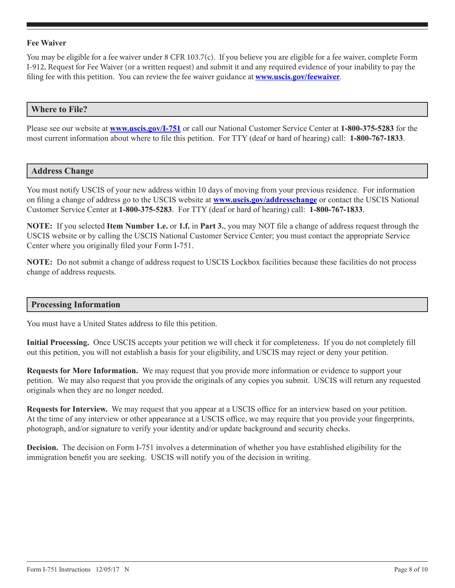#### **Fee Waiver**

You may be eligible for a fee waiver under 8 CFR 103.7(c). If you believe you are eligible for a fee waiver, complete Form I-912, Request for Fee Waiver (or a written request) and submit it and any required evidence of your inability to pay the filing fee with this petition. You can review the fee waiver guidance at **www.uscis.gov/feewaiver**.

### **Where to File?**

Please see our website at **www.uscis.gov/I-751** or call our National Customer Service Center at **1-800-375-5283** for the most current information about where to file this petition. For TTY (deaf or hard of hearing) call: **1-800-767-1833**.

#### **Address Change**

You must notify USCIS of your new address within 10 days of moving from your previous residence. For information on filing a change of address go to the USCIS website at **www.uscis.gov/addresschange** or contact the USCIS National Customer Service Center at **1-800-375-5283**. For TTY (deaf or hard of hearing) call: **1-800-767-1833**.

**NOTE:** If you selected **Item Number 1.e.** or **1.f.** in **Part 3.**, you may NOT file a change of address request through the USCIS website or by calling the USCIS National Customer Service Center; you must contact the appropriate Service Center where you originally filed your Form I-751.

**NOTE:** Do not submit a change of address request to USCIS Lockbox facilities because these facilities do not process change of address requests.

#### **Processing Information**

You must have a United States address to file this petition.

**Initial Processing.** Once USCIS accepts your petition we will check it for completeness. If you do not completely fill out this petition, you will not establish a basis for your eligibility, and USCIS may reject or deny your petition.

**Requests for More Information.** We may request that you provide more information or evidence to support your petition. We may also request that you provide the originals of any copies you submit. USCIS will return any requested originals when they are no longer needed.

**Requests for Interview.** We may request that you appear at a USCIS office for an interview based on your petition. At the time of any interview or other appearance at a USCIS office, we may require that you provide your fingerprints, photograph, and/or signature to verify your identity and/or update background and security checks.

**Decision.** The decision on Form I-751 involves a determination of whether you have established eligibility for the immigration benefit you are seeking. USCIS will notify you of the decision in writing.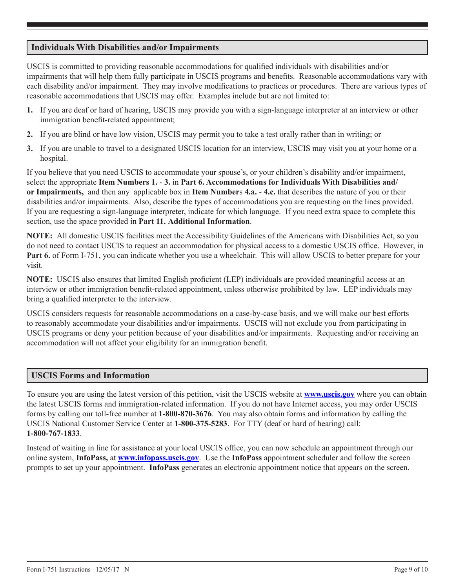# **Individuals With Disabilities and/or Impairments**

USCIS is committed to providing reasonable accommodations for qualified individuals with disabilities and/or impairments that will help them fully participate in USCIS programs and benefits. Reasonable accommodations vary with each disability and/or impairment. They may involve modifications to practices or procedures. There are various types of reasonable accommodations that USCIS may offer. Examples include but are not limited to:

- **1.** If you are deaf or hard of hearing, USCIS may provide you with a sign-language interpreter at an interview or other immigration benefit-related appointment;
- **2.** If you are blind or have low vision, USCIS may permit you to take a test orally rather than in writing; or
- **3.** If you are unable to travel to a designated USCIS location for an interview, USCIS may visit you at your home or a hospital.

If you believe that you need USCIS to accommodate your spouse's, or your children's disability and/or impairment, select the appropriate **Item Numbers 1.** - **3.** in **Part 6. Accommodations for Individuals With Disabilities and/ or Impairments,** and then any applicable box in **Item Number**s **4.a.** - **4.c.** that describes the nature of you or their disabilities and/or impairments. Also, describe the types of accommodations you are requesting on the lines provided. If you are requesting a sign-language interpreter, indicate for which language. If you need extra space to complete this section, use the space provided in **Part 11. Additional Information**.

**NOTE:** All domestic USCIS facilities meet the Accessibility Guidelines of the Americans with Disabilities Act, so you do not need to contact USCIS to request an accommodation for physical access to a domestic USCIS office. However, in **Part 6.** of Form I-751, you can indicate whether you use a wheelchair. This will allow USCIS to better prepare for your visit.

**NOTE:** USCIS also ensures that limited English proficient (LEP) individuals are provided meaningful access at an interview or other immigration benefit-related appointment, unless otherwise prohibited by law. LEP individuals may bring a qualified interpreter to the interview.

USCIS considers requests for reasonable accommodations on a case-by-case basis, and we will make our best efforts to reasonably accommodate your disabilities and/or impairments. USCIS will not exclude you from participating in USCIS programs or deny your petition because of your disabilities and/or impairments. Requesting and/or receiving an accommodation will not affect your eligibility for an immigration benefit.

## **USCIS Forms and Information**

To ensure you are using the latest version of this petition, visit the USCIS website at **www.uscis.gov** where you can obtain the latest USCIS forms and immigration-related information. If you do not have Internet access, you may order USCIS forms by calling our toll-free number at **1-800-870-3676**. You may also obtain forms and information by calling the USCIS National Customer Service Center at **1-800-375-5283**. For TTY (deaf or hard of hearing) call: **1-800-767-1833**.

Instead of waiting in line for assistance at your local USCIS office, you can now schedule an appointment through our online system, **InfoPass,** at **www.infopass.uscis.gov**. Use the **InfoPass** appointment scheduler and follow the screen prompts to set up your appointment. **InfoPass** generates an electronic appointment notice that appears on the screen.